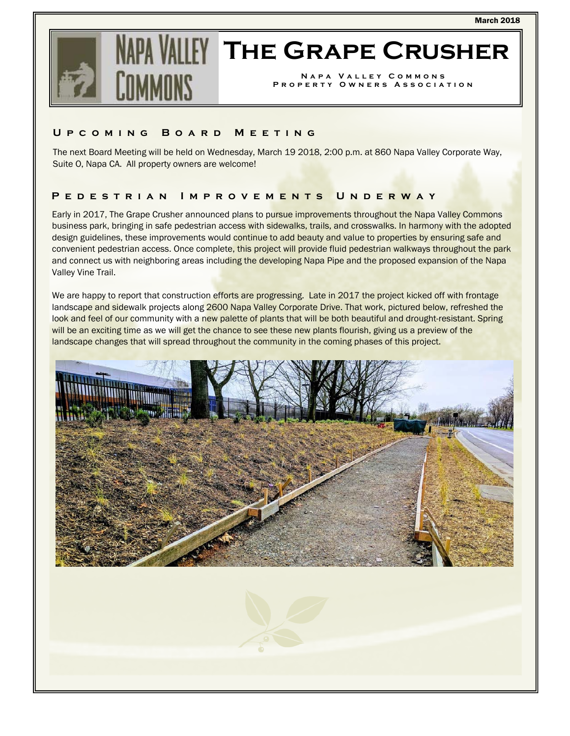

# **IFY THE GRAPE CRUSHER**

**Napa Valley Commons Property Owners Association** 

### **Upcoming Board Meeting**

The next Board Meeting will be held on Wednesday, March 19 2018, 2:00 p.m. at 860 Napa Valley Corporate Way, Suite O, Napa CA. All property owners are welcome!

# **Pedestrian Improvements Underway**

Early in 2017, The Grape Crusher announced plans to pursue improvements throughout the Napa Valley Commons business park, bringing in safe pedestrian access with sidewalks, trails, and crosswalks. In harmony with the adopted design guidelines, these improvements would continue to add beauty and value to properties by ensuring safe and convenient pedestrian access. Once complete, this project will provide fluid pedestrian walkways throughout the park and connect us with neighboring areas including the developing Napa Pipe and the proposed expansion of the Napa Valley Vine Trail.

We are happy to report that construction efforts are progressing. Late in 2017 the project kicked off with frontage landscape and sidewalk projects along 2600 Napa Valley Corporate Drive. That work, pictured below, refreshed the look and feel of our community with a new palette of plants that will be both beautiful and drought-resistant. Spring will be an exciting time as we will get the chance to see these new plants flourish, giving us a preview of the landscape changes that will spread throughout the community in the coming phases of this project.

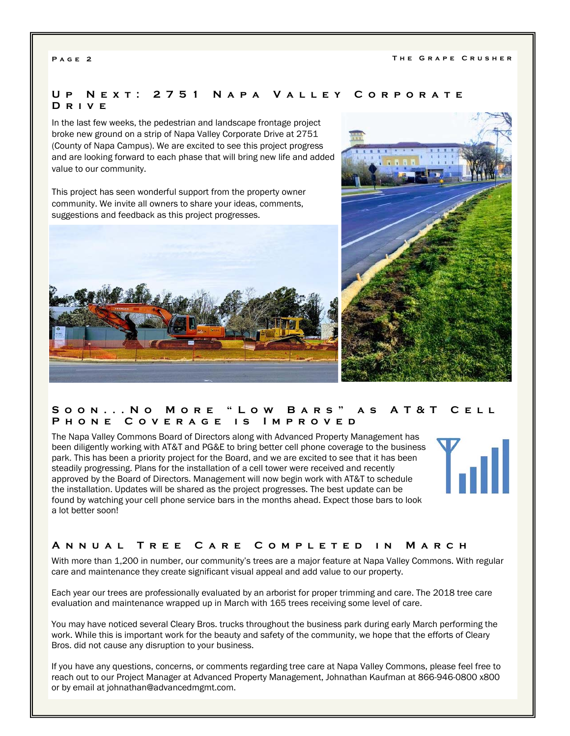# **Up Next: 2751 Napa Valley Corporate Drive**

In the last few weeks, the pedestrian and landscape frontage project broke new ground on a strip of Napa Valley Corporate Drive at 2751 (County of Napa Campus). We are excited to see this project progress and are looking forward to each phase that will bring new life and added value to our community.

This project has seen wonderful support from the property owner community. We invite all owners to share your ideas, comments, suggestions and feedback as this project progresses.





# **Soon...No More "Low Bars" as AT&T Cell Phone Coverage is Improved**

The Napa Valley Commons Board of Directors along with Advanced Property Management has been diligently working with AT&T and PG&E to bring better cell phone coverage to the business park. This has been a priority project for the Board, and we are excited to see that it has been steadily progressing. Plans for the installation of a cell tower were received and recently approved by the Board of Directors. Management will now begin work with AT&T to schedule the installation. Updates will be shared as the project progresses. The best update can be found by watching your cell phone service bars in the months ahead. Expect those bars to look a lot better soon!



#### **Annual Tree Care Completed in March**

With more than 1,200 in number, our community's trees are a major feature at Napa Valley Commons. With regular care and maintenance they create significant visual appeal and add value to our property.

Each year our trees are professionally evaluated by an arborist for proper trimming and care. The 2018 tree care evaluation and maintenance wrapped up in March with 165 trees receiving some level of care.

You may have noticed several Cleary Bros. trucks throughout the business park during early March performing the work. While this is important work for the beauty and safety of the community, we hope that the efforts of Cleary Bros. did not cause any disruption to your business.

If you have any questions, concerns, or comments regarding tree care at Napa Valley Commons, please feel free to reach out to our Project Manager at Advanced Property Management, Johnathan Kaufman at 866-946-0800 x800 or by email at johnathan@advancedmgmt.com.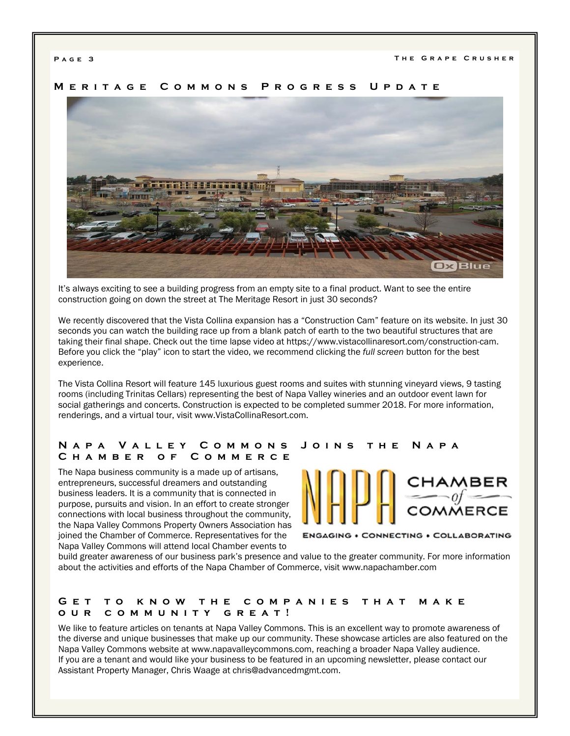

# **Meritage Commons Progress Update**

It's always exciting to see a building progress from an empty site to a final product. Want to see the entire construction going on down the street at The Meritage Resort in just 30 seconds?

We recently discovered that the Vista Collina expansion has a "Construction Cam" feature on its website. In just 30 seconds you can watch the building race up from a blank patch of earth to the two beautiful structures that are taking their final shape. Check out the time lapse video at https://www.vistacollinaresort.com/construction-cam. Before you click the "play" icon to start the video, we recommend clicking the *full screen* button for the best experience.

The Vista Collina Resort will feature 145 luxurious guest rooms and suites with stunning vineyard views, 9 tasting rooms (including Trinitas Cellars) representing the best of Napa Valley wineries and an outdoor event lawn for social gatherings and concerts. Construction is expected to be completed summer 2018. For more information, renderings, and a virtual tour, visit www.VistaCollinaResort.com.

#### **Napa Valley Commons Joins the Napa Chamber of Commerce**

The Napa business community is a made up of artisans, entrepreneurs, successful dreamers and outstanding business leaders. It is a community that is connected in purpose, pursuits and vision. In an effort to create stronger connections with local business throughout the community, the Napa Valley Commons Property Owners Association has joined the Chamber of Commerce. Representatives for the Napa Valley Commons will attend local Chamber events to



**ENGAGING . CONNECTING . COLLABORATING** 

build greater awareness of our business park's presence and value to the greater community. For more information about the activities and efforts of the Napa Chamber of Commerce, visit www.napachamber.com

#### **Get to know the companies that make our community great!**

We like to feature articles on tenants at Napa Valley Commons. This is an excellent way to promote awareness of the diverse and unique businesses that make up our community. These showcase articles are also featured on the Napa Valley Commons website at www.napavalleycommons.com, reaching a broader Napa Valley audience. If you are a tenant and would like your business to be featured in an upcoming newsletter, please contact our Assistant Property Manager, Chris Waage at chris@advancedmgmt.com.